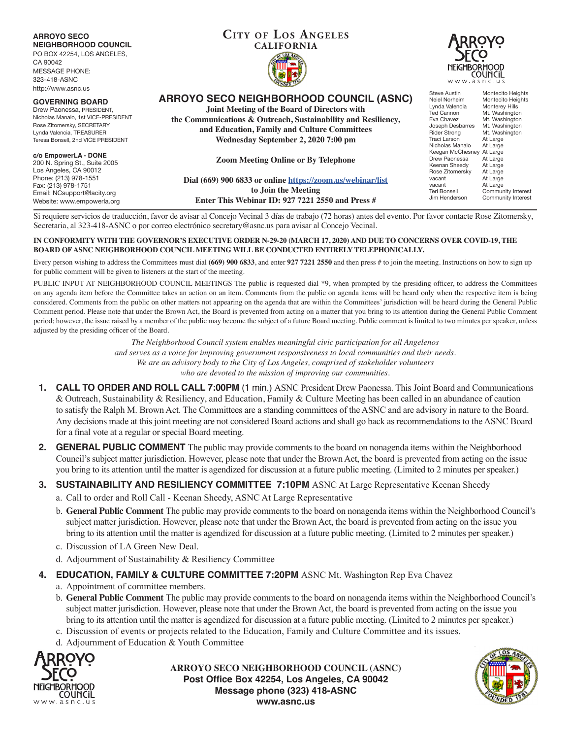| <b>ARROYO SECO</b><br><b>NEIGHBORHOOD COUNCIL</b><br>PO BOX 42254, LOS ANGELES,<br>CA 90042<br><b>MESSAGE PHONE:</b><br>323-418-ASNC<br>http://www.asnc.us                                  | <b>CITY OF LOS ANGELES</b><br><b>CALIFORNIA</b>                                                                                                                                                                                                        | <b>NEIGHBORHOOD</b><br>www.asnc.us                                                                                                                                                                                                                                                                      | COUNCIL                                                                                                                                                                                                                                                          |
|---------------------------------------------------------------------------------------------------------------------------------------------------------------------------------------------|--------------------------------------------------------------------------------------------------------------------------------------------------------------------------------------------------------------------------------------------------------|---------------------------------------------------------------------------------------------------------------------------------------------------------------------------------------------------------------------------------------------------------------------------------------------------------|------------------------------------------------------------------------------------------------------------------------------------------------------------------------------------------------------------------------------------------------------------------|
| <b>GOVERNING BOARD</b><br>Drew Paonessa, PRESIDENT,<br>Nicholas Manalo, 1st VICE-PRESIDENT<br>Rose Zitomersky, SECRETARY<br>Lynda Valencia, TREASURER<br>Teresa Bonsell, 2nd VICE PRESIDENT | <b>ARROYO SECO NEIGHBORHOOD COUNCIL (ASNC)</b><br>Joint Meeting of the Board of Directors with<br>the Communications & Outreach, Sustainability and Resiliency,<br>and Education, Family and Culture Committees<br>Wednesday September 2, 2020 7:00 pm | Steve Austin<br>Neiel Norheim<br>Lynda Valencia<br>Ted Cannon<br>Eva Chavez<br>Joseph Desbarres<br><b>Rider Strong</b><br>Traci Larson<br>Nicholas Manalo<br>Keegan McChesney At Large<br>Drew Paonessa<br>Keenan Sheedy<br>Rose Zitomersky<br>vacant<br>vacant<br><b>Teri Bonsell</b><br>Jim Henderson | Montecito Heights<br>Montecito Heights<br>Monterey Hills<br>Mt. Washington<br>Mt. Washington<br>Mt. Washington<br>Mt. Washington<br>At Large<br>At Large<br>At Large<br>At Large<br>At Large<br>At Large<br>At Large<br>Community Interest<br>Community Interest |
| c/o EmpowerLA - DONE<br>200 N. Spring St., Suite 2005<br>Los Angeles, CA 90012<br>Phone: (213) 978-1551<br>Fax: (213) 978-1751<br>Email: NCsupport@lacity.org<br>Website: www.empowerla.org | <b>Zoom Meeting Online or By Telephone</b><br>Dial (669) 900 6833 or online https://zoom.us/webinar/list<br>to Join the Meeting<br>Enter This Webinar ID: 927 7221 2550 and Press #                                                                    |                                                                                                                                                                                                                                                                                                         |                                                                                                                                                                                                                                                                  |

Si requiere servicios de traducción, favor de avisar al Concejo Vecinal 3 días de trabajo (72 horas) antes del evento. Por favor contacte Rose Zitomersky, Secretaria, al 323-418-ASNC o por correo electrónico secretary@asnc.us para avisar al Concejo Vecinal.

#### **IN CONFORMITY WITH THE GOVERNOR'S EXECUTIVE ORDER N-29-20 (MARCH 17, 2020) AND DUE TO CONCERNS OVER COVID-19, THE BOARD OF ASNC NEIGHBORHOOD COUNCIL MEETING WILL BE CONDUCTED ENTIRELY TELEPHONICALLY.**

Every person wishing to address the Committees must dial (669) 900 6833, and enter 927 7221 2550 and then press # to join the meeting. Instructions on how to sign up for public comment will be given to listeners at the start of the meeting.

PUBLIC INPUT AT NEIGHBORHOOD COUNCIL MEETINGS The public is requested dial \*9, when prompted by the presiding officer, to address the Committees on any agenda item before the Committee takes an action on an item. Comments from the public on agenda items will be heard only when the respective item is being considered. Comments from the public on other matters not appearing on the agenda that are within the Committees' jurisdiction will be heard during the General Public Comment period. Please note that under the Brown Act, the Board is prevented from acting on a matter that you bring to its attention during the General Public Comment period; however, the issue raised by a member of the public may become the subject of a future Board meeting. Public comment is limited to two minutes per speaker, unless adjusted by the presiding officer of the Board.

> *The Neighborhood Council system enables meaningful civic participation for all Angelenos and serves as a voice for improving government responsiveness to local communities and their needs. We are an advisory body to the City of Los Angeles, comprised of stakeholder volunteers who are devoted to the mission of improving our communities.*

- **1. CALL TO ORDER AND ROLL CALL 7:00PM** (1 min.) ASNC President Drew Paonessa. This Joint Board and Communications & Outreach, Sustainability & Resiliency, and Education, Family & Culture Meeting has been called in an abundance of caution to satisfy the Ralph M. Brown Act. The Committees are a standing committees of the ASNC and are advisory in nature to the Board. Any decisions made at this joint meeting are not considered Board actions and shall go back as recommendations to the ASNC Board for a final vote at a regular or special Board meeting.
- **2. GENERAL PUBLIC COMMENT** The public may provide comments to the board on nonagenda items within the Neighborhood Council's subject matter jurisdiction. However, please note that under the Brown Act, the board is prevented from acting on the issue you bring to its attention until the matter is agendized for discussion at a future public meeting. (Limited to 2 minutes per speaker.)
- **3. SUSTAINABILITY AND RESILIENCY COMMITTEE 7:10PM** ASNC At Large Representative Keenan Sheedy
	- a. Call to order and Roll Call Keenan Sheedy, ASNC At Large Representative
	- b. **General Public Comment** The public may provide comments to the board on nonagenda items within the Neighborhood Council's subject matter jurisdiction. However, please note that under the Brown Act, the board is prevented from acting on the issue you bring to its attention until the matter is agendized for discussion at a future public meeting. (Limited to 2 minutes per speaker.)
	- c. Discussion of LA Green New Deal.
	- d. Adjournment of Sustainability & Resiliency Committee
- **4. EDUCATION, FAMILY & CULTURE COMMITTEE 7:20PM** ASNC Mt. Washington Rep Eva Chavez
	- a. Appointment of committee members.
	- b. **General Public Comment** The public may provide comments to the board on nonagenda items within the Neighborhood Council's subject matter jurisdiction. However, please note that under the Brown Act, the board is prevented from acting on the issue you bring to its attention until the matter is agendized for discussion at a future public meeting. (Limited to 2 minutes per speaker.)
	- c. Discussion of events or projects related to the Education, Family and Culture Committee and its issues.
	- d. Adjournment of Education & Youth Committee



**ARROYO SECO NEIGHBORHOOD COUNCIL (ASNC) Post Office Box 42254, Los Angeles, CA 90042 Message phone (323) 418-ASNC www.asnc.us**